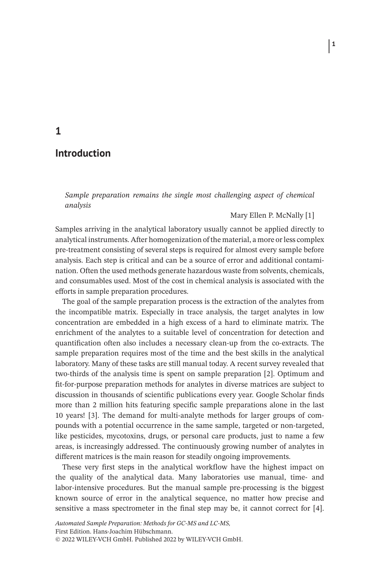## **Introduction**

*Sample preparation remains the single most challenging aspect of chemical analysis*

### Mary Ellen P. McNally [1]

Samples arriving in the analytical laboratory usually cannot be applied directly to analytical instruments. After homogenization of the material, a more or less complex pre-treatment consisting of several steps is required for almost every sample before analysis. Each step is critical and can be a source of error and additional contamination. Often the used methods generate hazardous waste from solvents, chemicals, and consumables used. Most of the cost in chemical analysis is associated with the efforts in sample preparation procedures.

The goal of the sample preparation process is the extraction of the analytes from the incompatible matrix. Especially in trace analysis, the target analytes in low concentration are embedded in a high excess of a hard to eliminate matrix. The enrichment of the analytes to a suitable level of concentration for detection and quantification often also includes a necessary clean-up from the co-extracts. The sample preparation requires most of the time and the best skills in the analytical laboratory. Many of these tasks are still manual today. A recent survey revealed that two-thirds of the analysis time is spent on sample preparation [2]. Optimum and fit-for-purpose preparation methods for analytes in diverse matrices are subject to discussion in thousands of scientific publications every year. Google Scholar finds more than 2 million hits featuring specific sample preparations alone in the last 10 years! [3]. The demand for multi-analyte methods for larger groups of compounds with a potential occurrence in the same sample, targeted or non-targeted, like pesticides, mycotoxins, drugs, or personal care products, just to name a few areas, is increasingly addressed. The continuously growing number of analytes in different matrices is the main reason for steadily ongoing improvements.

These very first steps in the analytical workflow have the highest impact on the quality of the analytical data. Many laboratories use manual, time- and labor-intensive procedures. But the manual sample pre-processing is the biggest known source of error in the analytical sequence, no matter how precise and sensitive a mass spectrometer in the final step may be, it cannot correct for [4].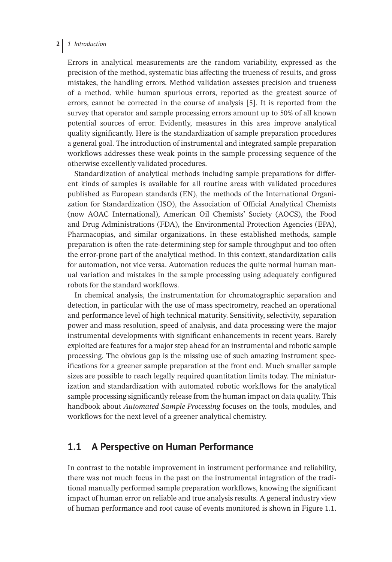### **2** *1 Introduction*

Errors in analytical measurements are the random variability, expressed as the precision of the method, systematic bias affecting the trueness of results, and gross mistakes, the handling errors. Method validation assesses precision and trueness of a method, while human spurious errors, reported as the greatest source of errors, cannot be corrected in the course of analysis [5]. It is reported from the survey that operator and sample processing errors amount up to 50% of all known potential sources of error. Evidently, measures in this area improve analytical quality significantly. Here is the standardization of sample preparation procedures a general goal. The introduction of instrumental and integrated sample preparation workflows addresses these weak points in the sample processing sequence of the otherwise excellently validated procedures.

Standardization of analytical methods including sample preparations for different kinds of samples is available for all routine areas with validated procedures published as European standards (EN), the methods of the International Organization for Standardization (ISO), the Association of Official Analytical Chemists (now AOAC International), American Oil Chemists' Society (AOCS), the Food and Drug Administrations (FDA), the Environmental Protection Agencies (EPA), Pharmacopias, and similar organizations. In these established methods, sample preparation is often the rate-determining step for sample throughput and too often the error-prone part of the analytical method. In this context, standardization calls for automation, not vice versa. Automation reduces the quite normal human manual variation and mistakes in the sample processing using adequately configured robots for the standard workflows.

In chemical analysis, the instrumentation for chromatographic separation and detection, in particular with the use of mass spectrometry, reached an operational and performance level of high technical maturity. Sensitivity, selectivity, separation power and mass resolution, speed of analysis, and data processing were the major instrumental developments with significant enhancements in recent years. Barely exploited are features for a major step ahead for an instrumental and robotic sample processing. The obvious gap is the missing use of such amazing instrument specifications for a greener sample preparation at the front end. Much smaller sample sizes are possible to reach legally required quantitation limits today. The miniaturization and standardization with automated robotic workflows for the analytical sample processing significantly release from the human impact on data quality. This handbook about *Automated Sample Processing* focuses on the tools, modules, and workflows for the next level of a greener analytical chemistry.

## **1.1 A Perspective on Human Performance**

In contrast to the notable improvement in instrument performance and reliability, there was not much focus in the past on the instrumental integration of the traditional manually performed sample preparation workflows, knowing the significant impact of human error on reliable and true analysis results. A general industry view of human performance and root cause of events monitored is shown in Figure 1.1.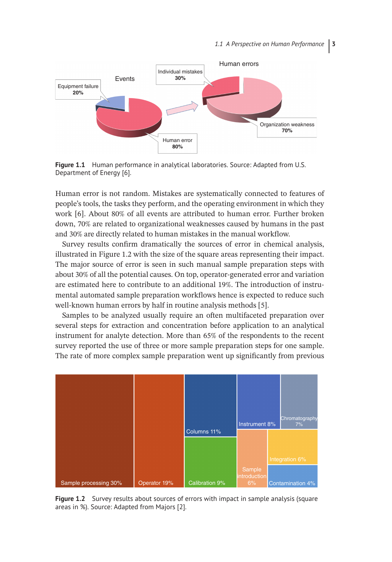

**Figure 1.1** Human performance in analytical laboratories. Source: Adapted from U.S. Department of Energy [6].

Human error is not random. Mistakes are systematically connected to features of people's tools, the tasks they perform, and the operating environment in which they work [6]. About 80% of all events are attributed to human error. Further broken down, 70% are related to organizational weaknesses caused by humans in the past and 30% are directly related to human mistakes in the manual workflow.

Survey results confirm dramatically the sources of error in chemical analysis, illustrated in Figure 1.2 with the size of the square areas representing their impact. The major source of error is seen in such manual sample preparation steps with about 30% of all the potential causes. On top, operator-generated error and variation are estimated here to contribute to an additional 19%. The introduction of instrumental automated sample preparation workflows hence is expected to reduce such well-known human errors by half in routine analysis methods [5].

Samples to be analyzed usually require an often multifaceted preparation over several steps for extraction and concentration before application to an analytical instrument for analyte detection. More than 65% of the respondents to the recent survey reported the use of three or more sample preparation steps for one sample. The rate of more complex sample preparation went up significantly from previous



**Figure 1.2** Survey results about sources of errors with impact in sample analysis (square areas in %). Source: Adapted from Majors [2].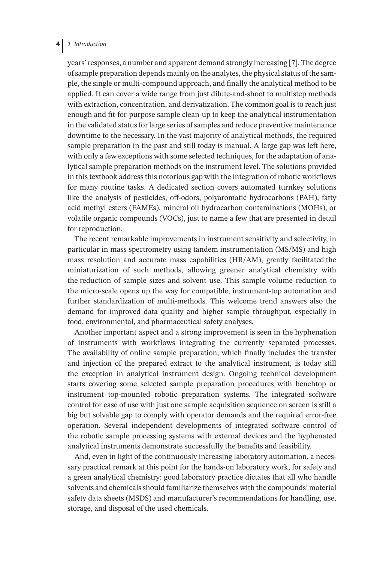### **4** *1 Introduction*

years' responses, a number and apparent demand strongly increasing [7]. The degree of sample preparation depends mainly on the analytes, the physical status of the sample, the single or multi-compound approach, and finally the analytical method to be applied. It can cover a wide range from just dilute-and-shoot to multistep methods with extraction, concentration, and derivatization. The common goal is to reach just enough and fit-for-purpose sample clean-up to keep the analytical instrumentation in the validated status for large series of samples and reduce preventive maintenance downtime to the necessary. In the vast majority of analytical methods, the required sample preparation in the past and still today is manual. A large gap was left here, with only a few exceptions with some selected techniques, for the adaptation of analytical sample preparation methods on the instrument level. The solutions provided in this textbook address this notorious gap with the integration of robotic workflows for many routine tasks. A dedicated section covers automated turnkey solutions like the analysis of pesticides, off-odors, polyaromatic hydrocarbons (PAH), fatty acid methyl esters (FAMEs), mineral oil hydrocarbon contaminations (MOHs), or volatile organic compounds (VOCs), just to name a few that are presented in detail for reproduction.

The recent remarkable improvements in instrument sensitivity and selectivity, in particular in mass spectrometry using tandem instrumentation (MS/MS) and high mass resolution and accurate mass capabilities (HR/AM), greatly facilitated the miniaturization of such methods, allowing greener analytical chemistry with the reduction of sample sizes and solvent use. This sample volume reduction to the micro-scale opens up the way for compatible, instrument-top automation and further standardization of multi-methods. This welcome trend answers also the demand for improved data quality and higher sample throughput, especially in food, environmental, and pharmaceutical safety analyses.

Another important aspect and a strong improvement is seen in the hyphenation of instruments with workflows integrating the currently separated processes. The availability of online sample preparation, which finally includes the transfer and injection of the prepared extract to the analytical instrument, is today still the exception in analytical instrument design. Ongoing technical development starts covering some selected sample preparation procedures with benchtop or instrument top-mounted robotic preparation systems. The integrated software control for ease of use with just one sample acquisition sequence on screen is still a big but solvable gap to comply with operator demands and the required error-free operation. Several independent developments of integrated software control of the robotic sample processing systems with external devices and the hyphenated analytical instruments demonstrate successfully the benefits and feasibility.

And, even in light of the continuously increasing laboratory automation, a necessary practical remark at this point for the hands-on laboratory work, for safety and a green analytical chemistry: good laboratory practice dictates that all who handle solvents and chemicals should familiarize themselves with the compounds' material safety data sheets (MSDS) and manufacturer's recommendations for handling, use, storage, and disposal of the used chemicals.